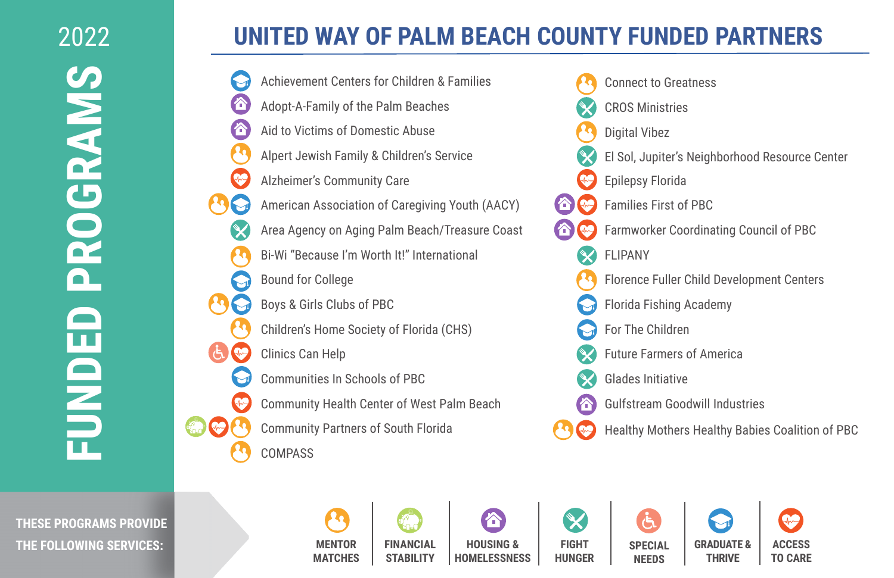## **UNITED WAY OF PALM BEACH COUNTY FUNDED PARTNERS**

- Achievement Centers for Children & Families A Adopt-A-Family of the Palm Beaches Aid to Victims of Domestic Abuse Alpert Jewish Family & Children's Service Alzheimer's Community Care American Association of Caregiving Youth (AACY) Area Agency on Aging Palm Beach/Treasure Coast Bi-Wi "Because I'm Worth It!" International Bound for College Boys & Girls Clubs of PBC Children's Home Society of Florida (CHS) Clinics Can Help Communities In Schools of PBC Community Health Center of West Palm Beach **P** Community Partners of South Florida COMPASS
- Connect to Greatness CROS Ministries Digital Vibez El Sol, Jupiter's Neighborhood Resource Center Epilepsy Florida Families First of PBC Farmworker Coordinating Council of PBC FLIPANY Florence Fuller Child Development Centers Florida Fishing Academy For The Children Future Farmers of America Glades Initiative Gulfstream Goodwill Industries 合 Healthy Mothers Healthy Babies Coalition of PBC

**THESE PROGRAMS PROVIDE THE FOLLOWING SERVICES:**

Xо **MENTOR FINANCIAL HOUSING & MATCHES STABILITY HOMELESSNESS**

 $\boldsymbol{\times}$ **FIGHT HUNGER**

**SPECIAL NEEDS**

**GRADUATE & THRIVE ACCESS TO CARE**